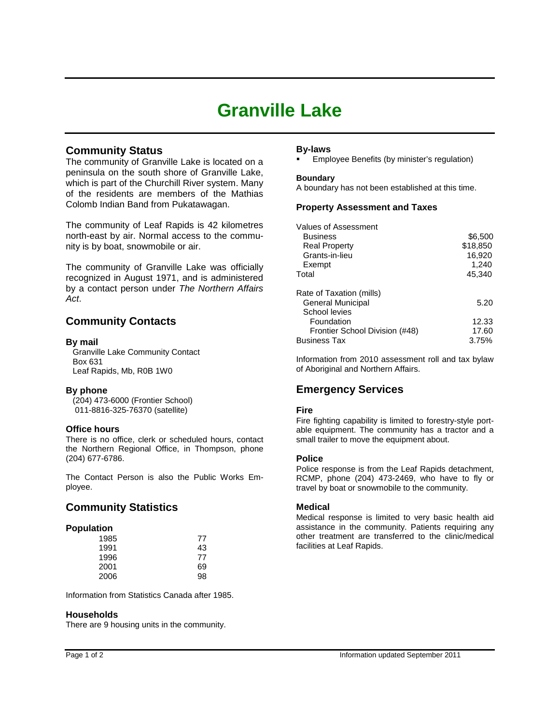# **Granville Lake**

## **Community Status**

The community of Granville Lake is located on a peninsula on the south shore of Granville Lake, which is part of the Churchill River system. Many of the residents are members of the Mathias Colomb Indian Band from Pukatawagan.

The community of Leaf Rapids is 42 kilometres north-east by air. Normal access to the community is by boat, snowmobile or air.

The community of Granville Lake was officially recognized in August 1971, and is administered by a contact person under *The Northern Affairs Act*.

## **Community Contacts**

## **By mail**

 Granville Lake Community Contact Box 631 Leaf Rapids, Mb, R0B 1W0

## **By phone**

 (204) 473-6000 (Frontier School) 011-8816-325-76370 (satellite)

## **Office hours**

There is no office, clerk or scheduled hours, contact the Northern Regional Office, in Thompson, phone (204) 677-6786.

The Contact Person is also the Public Works Employee.

## **Community Statistics**

## **Population**

| 1985 | 77 |
|------|----|
| 1991 | 43 |
| 1996 | 77 |
| 2001 | 69 |
| 2006 | 98 |

Information from Statistics Canada after 1985.

## **Households**

There are 9 housing units in the community.

## **By-laws**

Employee Benefits (by minister's regulation)

**Boundary** A boundary has not been established at this time.

## **Property Assessment and Taxes**

| Values of Assessment           |          |
|--------------------------------|----------|
| <b>Business</b>                | \$6,500  |
| <b>Real Property</b>           | \$18,850 |
| Grants-in-lieu                 | 16,920   |
| Exempt                         | 1,240    |
| Total                          | 45,340   |
|                                |          |
| Rate of Taxation (mills)       |          |
| General Municipal              | 5.20     |
| School levies                  |          |
| Foundation                     | 12.33    |
| Frontier School Division (#48) | 17.60    |
| Business Tax                   | 3.75%    |

Information from 2010 assessment roll and tax bylaw of Aboriginal and Northern Affairs.

## **Emergency Services**

## **Fire**

Fire fighting capability is limited to forestry-style portable equipment. The community has a tractor and a small trailer to move the equipment about.

## **Police**

Police response is from the Leaf Rapids detachment, RCMP, phone (204) 473-2469, who have to fly or travel by boat or snowmobile to the community.

## **Medical**

Medical response is limited to very basic health aid assistance in the community. Patients requiring any other treatment are transferred to the clinic/medical facilities at Leaf Rapids.